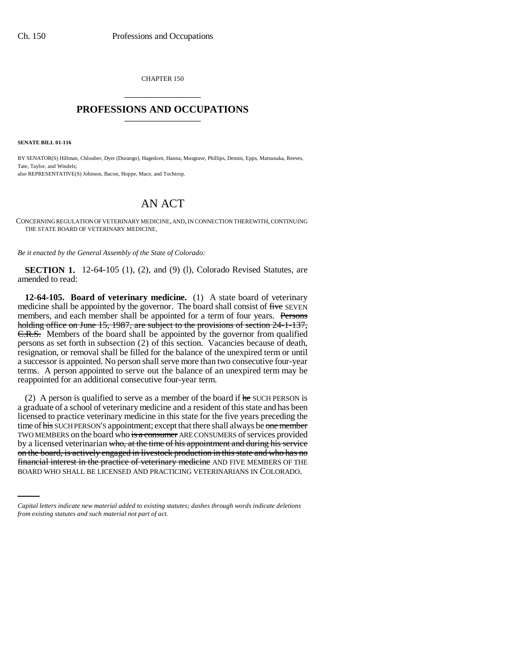CHAPTER 150 \_\_\_\_\_\_\_\_\_\_\_\_\_\_\_

## **PROFESSIONS AND OCCUPATIONS** \_\_\_\_\_\_\_\_\_\_\_\_\_\_\_

**SENATE BILL 01-116**

BY SENATOR(S) Hillman, Chlouber, Dyer (Durango), Hagedorn, Hanna, Musgrave, Phillips, Dennis, Epps, Matsunaka, Reeves, Tate, Taylor, and Windels; also REPRESENTATIVE(S) Johnson, Bacon, Hoppe, Mace, and Tochtrop.

## AN ACT

CONCERNING REGULATION OF VETERINARY MEDICINE, AND, IN CONNECTION THEREWITH, CONTINUING THE STATE BOARD OF VETERINARY MEDICINE.

*Be it enacted by the General Assembly of the State of Colorado:*

**SECTION 1.** 12-64-105 (1), (2), and (9) (1), Colorado Revised Statutes, are amended to read:

**12-64-105. Board of veterinary medicine.** (1) A state board of veterinary medicine shall be appointed by the governor. The board shall consist of five SEVEN members, and each member shall be appointed for a term of four years. Persons holding office on June 15, 1987, are subject to the provisions of section 24-1-137, C.R.S. Members of the board shall be appointed by the governor from qualified persons as set forth in subsection (2) of this section. Vacancies because of death, resignation, or removal shall be filled for the balance of the unexpired term or until a successor is appointed. No person shall serve more than two consecutive four-year terms. A person appointed to serve out the balance of an unexpired term may be reappointed for an additional consecutive four-year term.

on the board, is actively engaged in livestock production in this state and who has no (2) A person is qualified to serve as a member of the board if  $he$  SUCH PERSON is a graduate of a school of veterinary medicine and a resident of this state and has been licensed to practice veterinary medicine in this state for the five years preceding the time of his SUCH PERSON'S appointment; except that there shall always be one member TWO MEMBERS on the board who is a consumer ARE CONSUMERS of services provided by a licensed veterinarian who, at the time of his appointment and during his service financial interest in the practice of veterinary medicine AND FIVE MEMBERS OF THE BOARD WHO SHALL BE LICENSED AND PRACTICING VETERINARIANS IN COLORADO.

*Capital letters indicate new material added to existing statutes; dashes through words indicate deletions from existing statutes and such material not part of act.*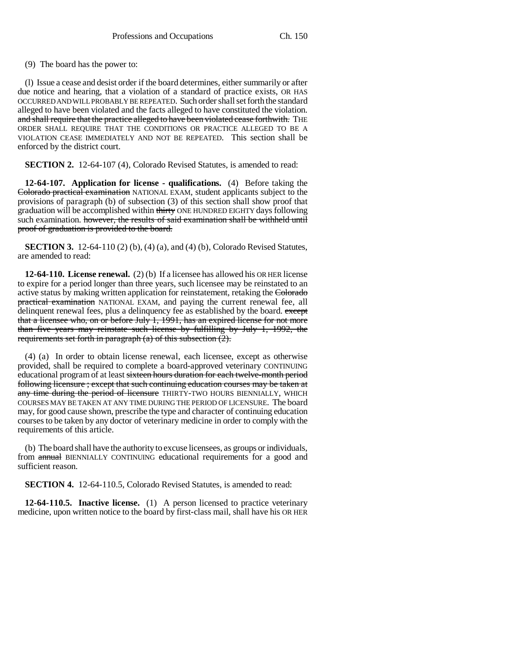(9) The board has the power to:

(l) Issue a cease and desist order if the board determines, either summarily or after due notice and hearing, that a violation of a standard of practice exists, OR HAS OCCURRED AND WILL PROBABLY BE REPEATED. Such order shall set forth the standard alleged to have been violated and the facts alleged to have constituted the violation. and shall require that the practice alleged to have been violated cease forthwith. THE ORDER SHALL REQUIRE THAT THE CONDITIONS OR PRACTICE ALLEGED TO BE A VIOLATION CEASE IMMEDIATELY AND NOT BE REPEATED. This section shall be enforced by the district court.

**SECTION 2.** 12-64-107 (4), Colorado Revised Statutes, is amended to read:

**12-64-107. Application for license - qualifications.** (4) Before taking the Colorado practical examination NATIONAL EXAM, student applicants subject to the provisions of paragraph (b) of subsection (3) of this section shall show proof that graduation will be accomplished within thirty ONE HUNDRED EIGHTY days following such examination. however, the results of said examination shall be withheld until proof of graduation is provided to the board.

**SECTION 3.** 12-64-110 (2) (b), (4) (a), and (4) (b), Colorado Revised Statutes, are amended to read:

**12-64-110. License renewal.** (2) (b) If a licensee has allowed his OR HER license to expire for a period longer than three years, such licensee may be reinstated to an active status by making written application for reinstatement, retaking the Colorado practical examination NATIONAL EXAM, and paying the current renewal fee, all delinquent renewal fees, plus a delinquency fee as established by the board. except that a licensee who, on or before July 1, 1991, has an expired license for not more than five years may reinstate such license by fulfilling by July 1, 1992, the requirements set forth in paragraph  $(a)$  of this subsection  $(2)$ .

(4) (a) In order to obtain license renewal, each licensee, except as otherwise provided, shall be required to complete a board-approved veterinary CONTINUING educational program of at least sixteen hours duration for each twelve-month period following licensure ; except that such continuing education courses may be taken at any time during the period of licensure THIRTY-TWO HOURS BIENNIALLY, WHICH COURSES MAY BE TAKEN AT ANY TIME DURING THE PERIOD OF LICENSURE. The board may, for good cause shown, prescribe the type and character of continuing education courses to be taken by any doctor of veterinary medicine in order to comply with the requirements of this article.

(b) The board shall have the authority to excuse licensees, as groups or individuals, from annual BIENNIALLY CONTINUING educational requirements for a good and sufficient reason.

**SECTION 4.** 12-64-110.5, Colorado Revised Statutes, is amended to read:

**12-64-110.5. Inactive license.** (1) A person licensed to practice veterinary medicine, upon written notice to the board by first-class mail, shall have his OR HER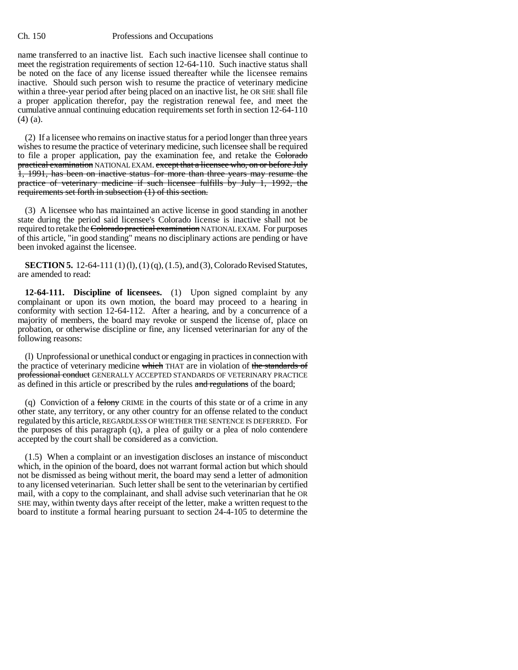## Ch. 150 Professions and Occupations

name transferred to an inactive list. Each such inactive licensee shall continue to meet the registration requirements of section 12-64-110. Such inactive status shall be noted on the face of any license issued thereafter while the licensee remains inactive. Should such person wish to resume the practice of veterinary medicine within a three-year period after being placed on an inactive list, he OR SHE shall file a proper application therefor, pay the registration renewal fee, and meet the cumulative annual continuing education requirements set forth in section 12-64-110 (4) (a).

(2) If a licensee who remains on inactive status for a period longer than three years wishes to resume the practice of veterinary medicine, such licensee shall be required to file a proper application, pay the examination fee, and retake the Colorado practical examination NATIONAL EXAM. except that a licensee who, on or before July 1, 1991, has been on inactive status for more than three years may resume the practice of veterinary medicine if such licensee fulfills by July 1, 1992, the requirements set forth in subsection (1) of this section.

(3) A licensee who has maintained an active license in good standing in another state during the period said licensee's Colorado license is inactive shall not be required to retake the Colorado practical examination NATIONAL EXAM. For purposes of this article, "in good standing" means no disciplinary actions are pending or have been invoked against the licensee.

**SECTION 5.** 12-64-111 (1) (1), (1) (q), (1.5), and (3), Colorado Revised Statutes, are amended to read:

**12-64-111. Discipline of licensees.** (1) Upon signed complaint by any complainant or upon its own motion, the board may proceed to a hearing in conformity with section 12-64-112. After a hearing, and by a concurrence of a majority of members, the board may revoke or suspend the license of, place on probation, or otherwise discipline or fine, any licensed veterinarian for any of the following reasons:

(l) Unprofessional or unethical conduct or engaging in practices in connection with the practice of veterinary medicine which THAT are in violation of the standards of professional conduct GENERALLY ACCEPTED STANDARDS OF VETERINARY PRACTICE as defined in this article or prescribed by the rules and regulations of the board;

(q) Conviction of a felony CRIME in the courts of this state or of a crime in any other state, any territory, or any other country for an offense related to the conduct regulated by this article, REGARDLESS OF WHETHER THE SENTENCE IS DEFERRED. For the purposes of this paragraph (q), a plea of guilty or a plea of nolo contendere accepted by the court shall be considered as a conviction.

(1.5) When a complaint or an investigation discloses an instance of misconduct which, in the opinion of the board, does not warrant formal action but which should not be dismissed as being without merit, the board may send a letter of admonition to any licensed veterinarian. Such letter shall be sent to the veterinarian by certified mail, with a copy to the complainant, and shall advise such veterinarian that he OR SHE may, within twenty days after receipt of the letter, make a written request to the board to institute a formal hearing pursuant to section 24-4-105 to determine the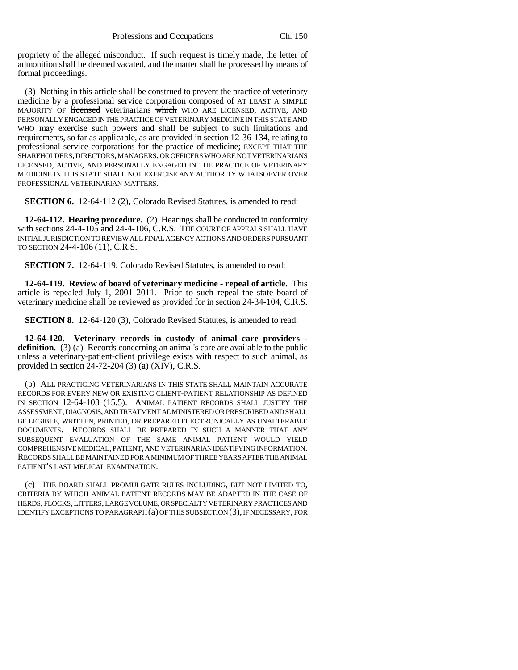propriety of the alleged misconduct. If such request is timely made, the letter of admonition shall be deemed vacated, and the matter shall be processed by means of formal proceedings.

(3) Nothing in this article shall be construed to prevent the practice of veterinary medicine by a professional service corporation composed of AT LEAST A SIMPLE MAJORITY OF **licensed** veterinarians which WHO ARE LICENSED, ACTIVE, AND PERSONALLY ENGAGED IN THE PRACTICE OF VETERINARY MEDICINE IN THIS STATE AND WHO may exercise such powers and shall be subject to such limitations and requirements, so far as applicable, as are provided in section 12-36-134, relating to professional service corporations for the practice of medicine; EXCEPT THAT THE SHAREHOLDERS, DIRECTORS, MANAGERS, OR OFFICERS WHO ARE NOT VETERINARIANS LICENSED, ACTIVE, AND PERSONALLY ENGAGED IN THE PRACTICE OF VETERINARY MEDICINE IN THIS STATE SHALL NOT EXERCISE ANY AUTHORITY WHATSOEVER OVER PROFESSIONAL VETERINARIAN MATTERS.

**SECTION 6.** 12-64-112 (2), Colorado Revised Statutes, is amended to read:

**12-64-112. Hearing procedure.** (2) Hearings shall be conducted in conformity with sections 24-4-105 and 24-4-106, C.R.S. THE COURT OF APPEALS SHALL HAVE INITIAL JURISDICTION TO REVIEW ALL FINAL AGENCY ACTIONS AND ORDERS PURSUANT TO SECTION 24-4-106 (11), C.R.S.

**SECTION 7.** 12-64-119, Colorado Revised Statutes, is amended to read:

**12-64-119. Review of board of veterinary medicine - repeal of article.** This article is repealed July 1, 2001 2011. Prior to such repeal the state board of veterinary medicine shall be reviewed as provided for in section 24-34-104, C.R.S.

**SECTION 8.** 12-64-120 (3), Colorado Revised Statutes, is amended to read:

**12-64-120. Veterinary records in custody of animal care providers definition.** (3) (a) Records concerning an animal's care are available to the public unless a veterinary-patient-client privilege exists with respect to such animal, as provided in section 24-72-204 (3) (a) (XIV), C.R.S.

(b) ALL PRACTICING VETERINARIANS IN THIS STATE SHALL MAINTAIN ACCURATE RECORDS FOR EVERY NEW OR EXISTING CLIENT-PATIENT RELATIONSHIP AS DEFINED IN SECTION 12-64-103 (15.5). ANIMAL PATIENT RECORDS SHALL JUSTIFY THE ASSESSMENT, DIAGNOSIS, AND TREATMENT ADMINISTERED OR PRESCRIBED AND SHALL BE LEGIBLE, WRITTEN, PRINTED, OR PREPARED ELECTRONICALLY AS UNALTERABLE DOCUMENTS. RECORDS SHALL BE PREPARED IN SUCH A MANNER THAT ANY SUBSEQUENT EVALUATION OF THE SAME ANIMAL PATIENT WOULD YIELD COMPREHENSIVE MEDICAL, PATIENT, AND VETERINARIAN IDENTIFYING INFORMATION. RECORDS SHALL BE MAINTAINED FOR A MINIMUM OF THREE YEARS AFTER THE ANIMAL PATIENT'S LAST MEDICAL EXAMINATION.

(c) THE BOARD SHALL PROMULGATE RULES INCLUDING, BUT NOT LIMITED TO, CRITERIA BY WHICH ANIMAL PATIENT RECORDS MAY BE ADAPTED IN THE CASE OF HERDS, FLOCKS, LITTERS, LARGE VOLUME, OR SPECIALTY VETERINARY PRACTICES AND IDENTIFY EXCEPTIONS TO PARAGRAPH (a) OF THIS SUBSECTION (3), IF NECESSARY, FOR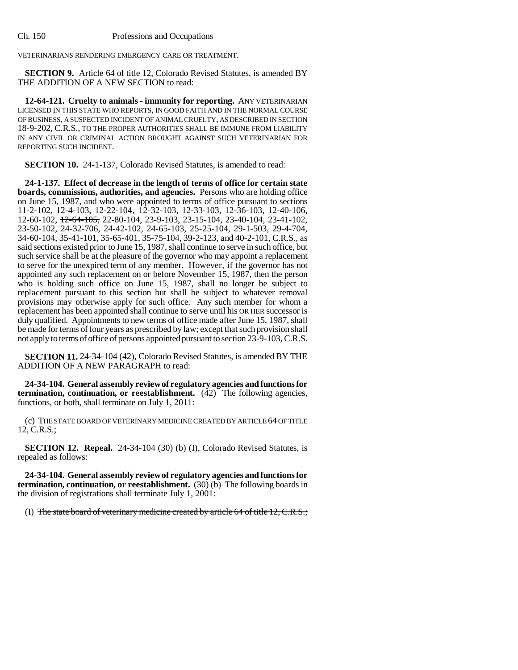VETERINARIANS RENDERING EMERGENCY CARE OR TREATMENT.

**SECTION 9.** Article 64 of title 12, Colorado Revised Statutes, is amended BY THE ADDITION OF A NEW SECTION to read:

**12-64-121. Cruelty to animals - immunity for reporting.** ANY VETERINARIAN LICENSED IN THIS STATE WHO REPORTS, IN GOOD FAITH AND IN THE NORMAL COURSE OF BUSINESS, A SUSPECTED INCIDENT OF ANIMAL CRUELTY, AS DESCRIBED IN SECTION 18-9-202, C.R.S., TO THE PROPER AUTHORITIES SHALL BE IMMUNE FROM LIABILITY IN ANY CIVIL OR CRIMINAL ACTION BROUGHT AGAINST SUCH VETERINARIAN FOR REPORTING SUCH INCIDENT.

**SECTION 10.** 24-1-137, Colorado Revised Statutes, is amended to read:

**24-1-137. Effect of decrease in the length of terms of office for certain state boards, commissions, authorities, and agencies.** Persons who are holding office on June 15, 1987, and who were appointed to terms of office pursuant to sections 11-2-102, 12-4-103, 12-22-104, 12-32-103, 12-33-103, 12-36-103, 12-40-106, 12-60-102, 12-64-105, 22-80-104, 23-9-103, 23-15-104, 23-40-104, 23-41-102, 23-50-102, 24-32-706, 24-42-102, 24-65-103, 25-25-104, 29-1-503, 29-4-704, 34-60-104, 35-41-101, 35-65-401, 35-75-104, 39-2-123, and 40-2-101, C.R.S., as said sections existed prior to June 15, 1987, shall continue to serve in such office, but such service shall be at the pleasure of the governor who may appoint a replacement to serve for the unexpired term of any member. However, if the governor has not appointed any such replacement on or before November 15, 1987, then the person who is holding such office on June 15, 1987, shall no longer be subject to replacement pursuant to this section but shall be subject to whatever removal provisions may otherwise apply for such office. Any such member for whom a replacement has been appointed shall continue to serve until his OR HER successor is duly qualified. Appointments to new terms of office made after June 15, 1987, shall be made for terms of four years as prescribed by law; except that such provision shall not apply to terms of office of persons appointed pursuant to section 23-9-103, C.R.S.

**SECTION 11.** 24-34-104 (42), Colorado Revised Statutes, is amended BY THE ADDITION OF A NEW PARAGRAPH to read:

**24-34-104. General assembly review of regulatory agencies and functions for termination, continuation, or reestablishment.** (42) The following agencies, functions, or both, shall terminate on July 1, 2011:

(c) THE STATE BOARD OF VETERINARY MEDICINE CREATED BY ARTICLE 64 OF TITLE 12, C.R.S.;

**SECTION 12. Repeal.** 24-34-104 (30) (b) (I), Colorado Revised Statutes, is repealed as follows:

**24-34-104. General assembly review of regulatory agencies and functions for termination, continuation, or reestablishment.** (30) (b) The following boards in the division of registrations shall terminate July 1, 2001:

(I) The state board of veterinary medicine created by article 64 of title 12, C.R.S.;